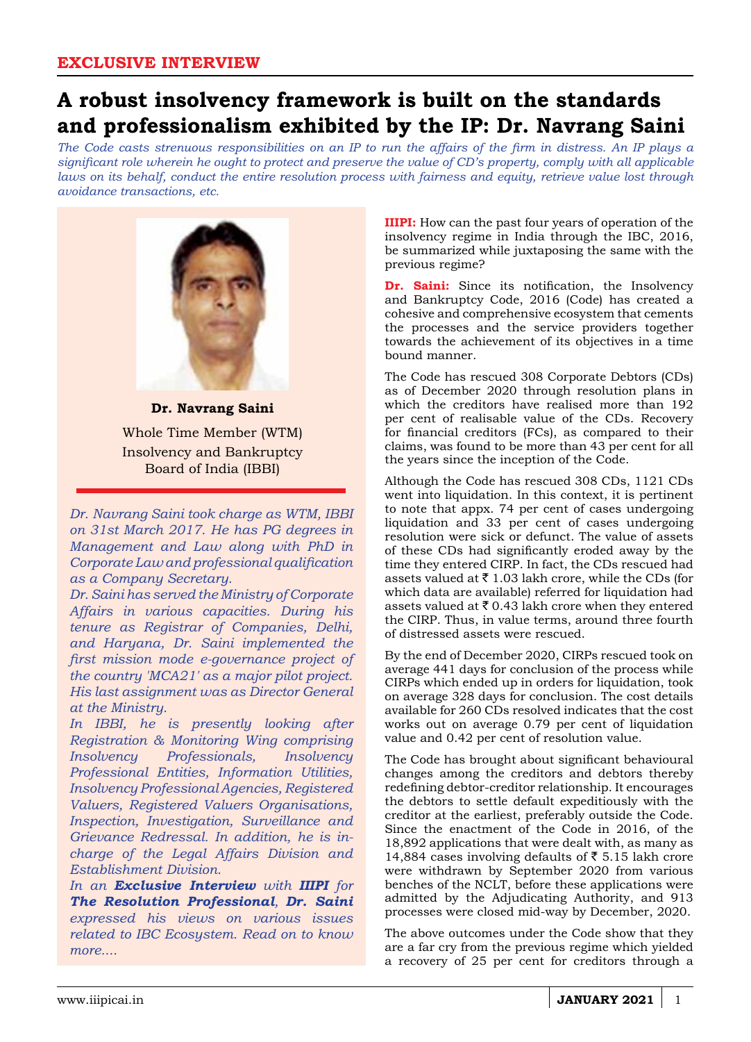## **A robust insolvency framework is built on the standards and professionalism exhibited by the IP: Dr. Navrang Saini**

*The Code casts strenuous responsibilities on an IP to run the affairs of the firm in distress. An IP plays a significant role wherein he ought to protect and preserve the value of CD's property, comply with all applicable laws on its behalf, conduct the entire resolution process with fairness and equity, retrieve value lost through avoidance transactions, etc.*



Whole Time Member (WTM) Insolvency and Bankruptcy Board of India (IBBI)

*Dr. Navrang Saini took charge as WTM, IBBI on 31st March 2017. He has PG degrees in Management and Law along with PhD in Corporate Law and professional qualification as a Company Secretary.* 

*Dr. Saini has served the Ministry of Corporate Affairs in various capacities. During his tenure as Registrar of Companies, Delhi, and Haryana, Dr. Saini implemented the first mission mode e-governance project of the country 'MCA21' as a major pilot project. His last assignment was as Director General at the Ministry.* 

*In IBBI, he is presently looking after Registration & Monitoring Wing comprising Insolvency Professionals, Insolvency Professional Entities, Information Utilities, Insolvency Professional Agencies, Registered Valuers, Registered Valuers Organisations, Inspection, Investigation, Surveillance and Grievance Redressal. In addition, he is incharge of the Legal Affairs Division and Establishment Division.* 

*In an Exclusive Interview with IIIPI for The Resolution Professional, Dr. Saini expressed his views on various issues related to IBC Ecosystem. Read on to know more....*

**IIIPI:** How can the past four years of operation of the insolvency regime in India through the IBC, 2016, be summarized while juxtaposing the same with the previous regime?

**Dr. Saini:** Since its notification, the Insolvency and Bankruptcy Code, 2016 (Code) has created a cohesive and comprehensive ecosystem that cements the processes and the service providers together towards the achievement of its objectives in a time bound manner.

The Code has rescued 308 Corporate Debtors (CDs) as of December 2020 through resolution plans in which the creditors have realised more than 192 per cent of realisable value of the CDs. Recovery for financial creditors (FCs), as compared to their claims, was found to be more than 43 per cent for all the years since the inception of the Code.

Although the Code has rescued 308 CDs, 1121 CDs went into liquidation. In this context, it is pertinent to note that appx. 74 per cent of cases undergoing liquidation and 33 per cent of cases undergoing resolution were sick or defunct. The value of assets of these CDs had significantly eroded away by the time they entered CIRP. In fact, the CDs rescued had assets valued at  $\bar{\tau}$  1.03 lakh crore, while the CDs (for which data are available) referred for liquidation had assets valued at  $\bar{\tau}$  0.43 lakh crore when they entered the CIRP. Thus, in value terms, around three fourth of distressed assets were rescued.

By the end of December 2020, CIRPs rescued took on average 441 days for conclusion of the process while CIRPs which ended up in orders for liquidation, took on average 328 days for conclusion. The cost details available for 260 CDs resolved indicates that the cost works out on average 0.79 per cent of liquidation value and 0.42 per cent of resolution value.

The Code has brought about significant behavioural changes among the creditors and debtors thereby redefining debtor-creditor relationship. It encourages the debtors to settle default expeditiously with the creditor at the earliest, preferably outside the Code. Since the enactment of the Code in 2016, of the 18,892 applications that were dealt with, as many as 14,884 cases involving defaults of  $\bar{\tau}$  5.15 lakh crore were withdrawn by September 2020 from various benches of the NCLT, before these applications were admitted by the Adjudicating Authority, and 913 processes were closed mid-way by December, 2020.

The above outcomes under the Code show that they are a far cry from the previous regime which yielded a recovery of 25 per cent for creditors through a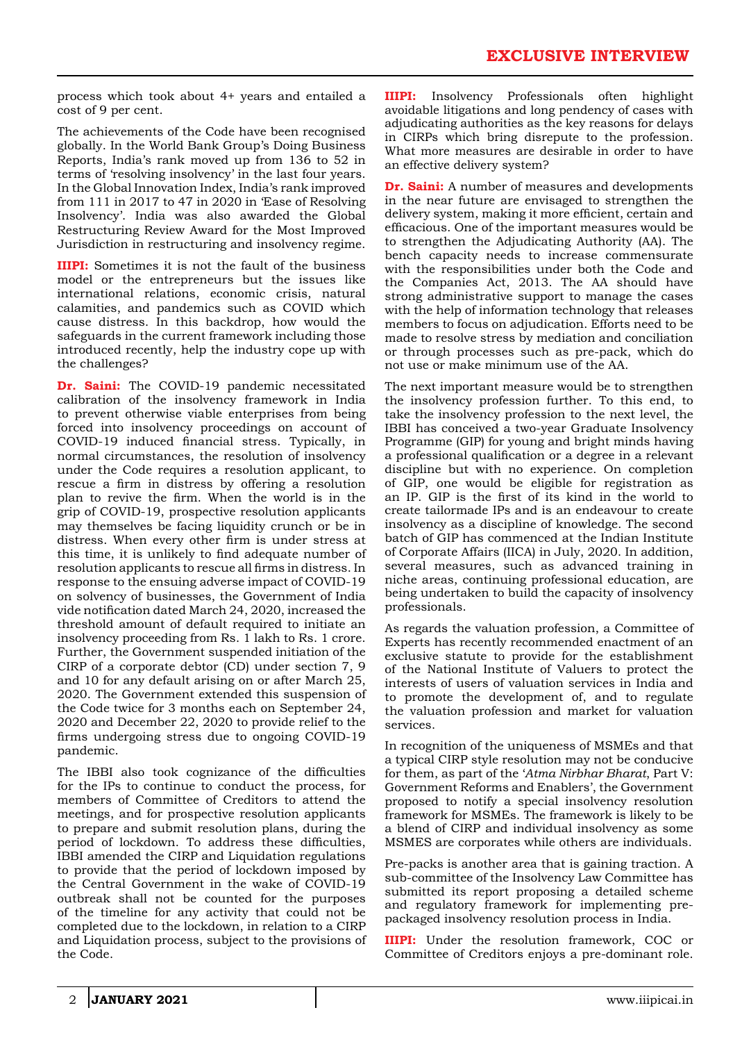process which took about 4+ years and entailed a cost of 9 per cent.

The achievements of the Code have been recognised globally. In the World Bank Group's Doing Business Reports, India's rank moved up from 136 to 52 in terms of 'resolving insolvency' in the last four years. In the Global Innovation Index, India's rank improved from 111 in 2017 to 47 in 2020 in 'Ease of Resolving Insolvency'. India was also awarded the Global Restructuring Review Award for the Most Improved Jurisdiction in restructuring and insolvency regime.

**IIIPI:** Sometimes it is not the fault of the business model or the entrepreneurs but the issues like international relations, economic crisis, natural calamities, and pandemics such as COVID which cause distress. In this backdrop, how would the safeguards in the current framework including those introduced recently, help the industry cope up with the challenges?

**Dr. Saini:** The COVID-19 pandemic necessitated calibration of the insolvency framework in India to prevent otherwise viable enterprises from being forced into insolvency proceedings on account of COVID-19 induced financial stress. Typically, in normal circumstances, the resolution of insolvency under the Code requires a resolution applicant, to rescue a firm in distress by offering a resolution plan to revive the firm. When the world is in the grip of COVID-19, prospective resolution applicants may themselves be facing liquidity crunch or be in distress. When every other firm is under stress at this time, it is unlikely to find adequate number of resolution applicants to rescue all firms in distress. In response to the ensuing adverse impact of COVID-19 on solvency of businesses, the Government of India vide notification dated March 24, 2020, increased the threshold amount of default required to initiate an insolvency proceeding from Rs. 1 lakh to Rs. 1 crore. Further, the Government suspended initiation of the CIRP of a corporate debtor (CD) under section 7, 9 and 10 for any default arising on or after March 25, 2020. The Government extended this suspension of the Code twice for 3 months each on September 24, 2020 and December 22, 2020 to provide relief to the firms undergoing stress due to ongoing COVID-19 pandemic.

The IBBI also took cognizance of the difficulties for the IPs to continue to conduct the process, for members of Committee of Creditors to attend the meetings, and for prospective resolution applicants to prepare and submit resolution plans, during the period of lockdown. To address these difficulties, IBBI amended the CIRP and Liquidation regulations to provide that the period of lockdown imposed by the Central Government in the wake of COVID-19 outbreak shall not be counted for the purposes of the timeline for any activity that could not be completed due to the lockdown, in relation to a CIRP and Liquidation process, subject to the provisions of the Code.

**IIIPI:** Insolvency Professionals often highlight avoidable litigations and long pendency of cases with adjudicating authorities as the key reasons for delays in CIRPs which bring disrepute to the profession. What more measures are desirable in order to have an effective delivery system?

**Dr. Saini:** A number of measures and developments in the near future are envisaged to strengthen the delivery system, making it more efficient, certain and efficacious. One of the important measures would be to strengthen the Adjudicating Authority (AA). The bench capacity needs to increase commensurate with the responsibilities under both the Code and the Companies Act, 2013. The AA should have strong administrative support to manage the cases with the help of information technology that releases members to focus on adjudication. Efforts need to be made to resolve stress by mediation and conciliation or through processes such as pre-pack, which do not use or make minimum use of the AA.

The next important measure would be to strengthen the insolvency profession further. To this end, to take the insolvency profession to the next level, the IBBI has conceived a two-year Graduate Insolvency Programme (GIP) for young and bright minds having a professional qualification or a degree in a relevant discipline but with no experience. On completion of GIP, one would be eligible for registration as an IP. GIP is the first of its kind in the world to create tailormade IPs and is an endeavour to create insolvency as a discipline of knowledge. The second batch of GIP has commenced at the Indian Institute of Corporate Affairs (IICA) in July, 2020. In addition, several measures, such as advanced training in niche areas, continuing professional education, are being undertaken to build the capacity of insolvency professionals.

As regards the valuation profession, a Committee of Experts has recently recommended enactment of an exclusive statute to provide for the establishment of the National Institute of Valuers to protect the interests of users of valuation services in India and to promote the development of, and to regulate the valuation profession and market for valuation services.

In recognition of the uniqueness of MSMEs and that a typical CIRP style resolution may not be conducive for them, as part of the '*Atma Nirbhar Bharat*, Part V: Government Reforms and Enablers', the Government proposed to notify a special insolvency resolution framework for MSMEs. The framework is likely to be a blend of CIRP and individual insolvency as some MSMES are corporates while others are individuals.

Pre-packs is another area that is gaining traction. A sub-committee of the Insolvency Law Committee has submitted its report proposing a detailed scheme and regulatory framework for implementing prepackaged insolvency resolution process in India.

**IIIPI:** Under the resolution framework, COC or Committee of Creditors enjoys a pre-dominant role.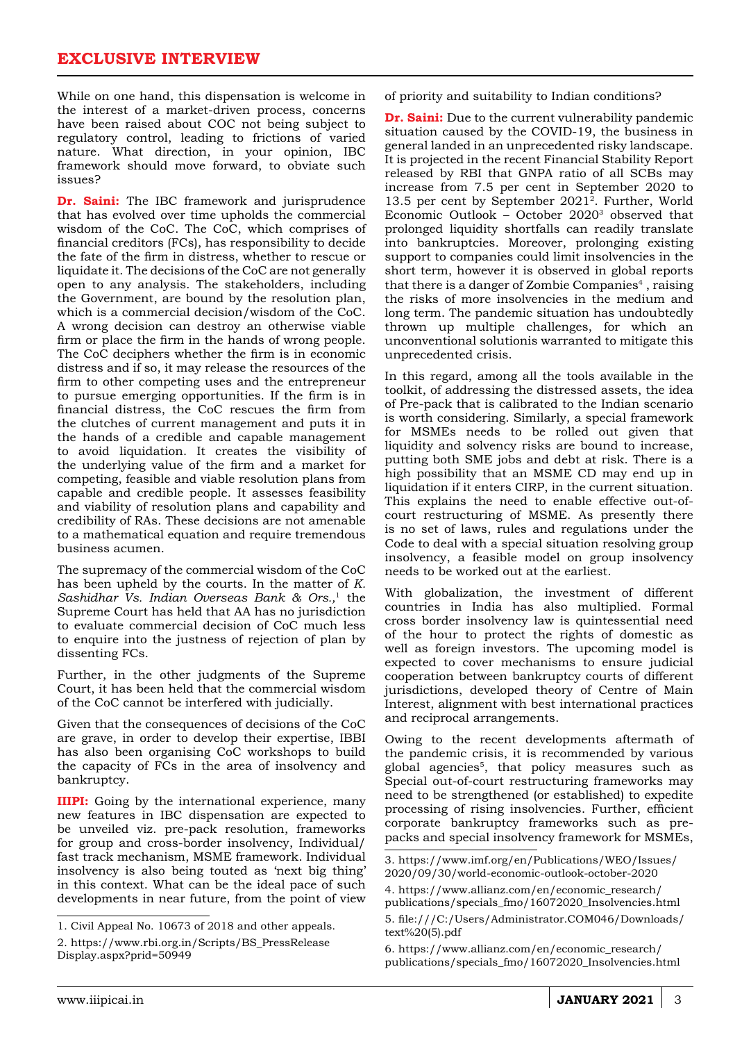While on one hand, this dispensation is welcome in the interest of a market-driven process, concerns have been raised about COC not being subject to regulatory control, leading to frictions of varied nature. What direction, in your opinion, IBC framework should move forward, to obviate such issues?

**Dr. Saini:** The IBC framework and jurisprudence that has evolved over time upholds the commercial wisdom of the CoC. The CoC, which comprises of financial creditors (FCs), has responsibility to decide the fate of the firm in distress, whether to rescue or liquidate it. The decisions of the CoC are not generally open to any analysis. The stakeholders, including the Government, are bound by the resolution plan, which is a commercial decision/wisdom of the CoC. A wrong decision can destroy an otherwise viable firm or place the firm in the hands of wrong people. The CoC deciphers whether the firm is in economic distress and if so, it may release the resources of the firm to other competing uses and the entrepreneur to pursue emerging opportunities. If the firm is in financial distress, the CoC rescues the firm from the clutches of current management and puts it in the hands of a credible and capable management to avoid liquidation. It creates the visibility of the underlying value of the firm and a market for competing, feasible and viable resolution plans from capable and credible people. It assesses feasibility and viability of resolution plans and capability and credibility of RAs. These decisions are not amenable to a mathematical equation and require tremendous business acumen.

The supremacy of the commercial wisdom of the CoC has been upheld by the courts. In the matter of *K. Sashidhar Vs. Indian Overseas Bank & Ors.,*1 the Supreme Court has held that AA has no jurisdiction to evaluate commercial decision of CoC much less to enquire into the justness of rejection of plan by dissenting FCs.

Further, in the other judgments of the Supreme Court, it has been held that the commercial wisdom of the CoC cannot be interfered with judicially.

Given that the consequences of decisions of the CoC are grave, in order to develop their expertise, IBBI has also been organising CoC workshops to build the capacity of FCs in the area of insolvency and bankruptcy.

**IIIPI:** Going by the international experience, many new features in IBC dispensation are expected to be unveiled viz. pre-pack resolution, frameworks for group and cross-border insolvency, Individual/ fast track mechanism, MSME framework. Individual insolvency is also being touted as 'next big thing' in this context. What can be the ideal pace of such developments in near future, from the point of view

of priority and suitability to Indian conditions?

**Dr. Saini:** Due to the current vulnerability pandemic situation caused by the COVID-19, the business in general landed in an unprecedented risky landscape. It is projected in the recent Financial Stability Report released by RBI that GNPA ratio of all SCBs may increase from 7.5 per cent in September 2020 to 13.5 per cent by September 20212. Further, World Economic Outlook – October 20203 observed that prolonged liquidity shortfalls can readily translate into bankruptcies. Moreover, prolonging existing support to companies could limit insolvencies in the short term, however it is observed in global reports that there is a danger of Zombie Companies<sup>4</sup>, raising the risks of more insolvencies in the medium and long term. The pandemic situation has undoubtedly thrown up multiple challenges, for which an unconventional solutionis warranted to mitigate this unprecedented crisis.

In this regard, among all the tools available in the toolkit, of addressing the distressed assets, the idea of Pre-pack that is calibrated to the Indian scenario is worth considering. Similarly, a special framework for MSMEs needs to be rolled out given that liquidity and solvency risks are bound to increase, putting both SME jobs and debt at risk. There is a high possibility that an MSME CD may end up in liquidation if it enters CIRP, in the current situation. This explains the need to enable effective out-ofcourt restructuring of MSME. As presently there is no set of laws, rules and regulations under the Code to deal with a special situation resolving group insolvency, a feasible model on group insolvency needs to be worked out at the earliest.

With globalization, the investment of different countries in India has also multiplied. Formal cross border insolvency law is quintessential need of the hour to protect the rights of domestic as well as foreign investors. The upcoming model is expected to cover mechanisms to ensure judicial cooperation between bankruptcy courts of different jurisdictions, developed theory of Centre of Main Interest, alignment with best international practices and reciprocal arrangements.

Owing to the recent developments aftermath of the pandemic crisis, it is recommended by various global agencies<sup>5</sup>, that policy measures such as Special out-of-court restructuring frameworks may need to be strengthened (or established) to expedite processing of rising insolvencies. Further, efficient corporate bankruptcy frameworks such as prepacks and special insolvency framework for MSMEs,

<sup>1.</sup> Civil Appeal No. 10673 of 2018 and other appeals.

<sup>2.</sup> https://www.rbi.org.in/Scripts/BS\_PressRelease Display.aspx?prid=50949

<sup>3.</sup> https://www.imf.org/en/Publications/WEO/Issues/ 2020/09/30/world-economic-outlook-october-2020

<sup>4.</sup> https://www.allianz.com/en/economic\_research/ publications/specials\_fmo/16072020\_Insolvencies.html 5. file:///C:/Users/Administrator.COM046/Downloads/ text%20(5).pdf

<sup>6.</sup> https://www.allianz.com/en/economic\_research/ publications/specials\_fmo/16072020\_Insolvencies.html